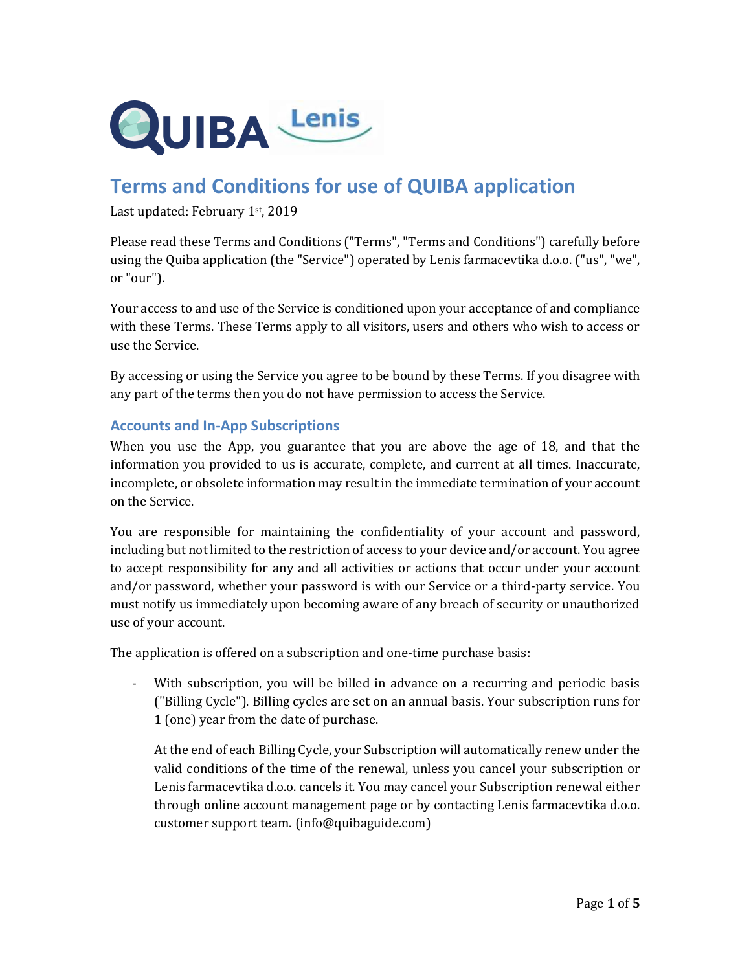

# **Terms and Conditions for use of QUIBA application**

Last updated: February 1st, 2019

Please read these Terms and Conditions ("Terms", "Terms and Conditions") carefully before using the Quiba application (the "Service") operated by Lenis farmacevtika d.o.o. ("us", "we", or "our").

Your access to and use of the Service is conditioned upon your acceptance of and compliance with these Terms. These Terms apply to all visitors, users and others who wish to access or use the Service.

By accessing or using the Service you agree to be bound by these Terms. If you disagree with any part of the terms then you do not have permission to access the Service.

## **Accounts and In-App Subscriptions**

When you use the App, you guarantee that you are above the age of 18, and that the information you provided to us is accurate, complete, and current at all times. Inaccurate, incomplete, or obsolete information may result in the immediate termination of your account on the Service.

You are responsible for maintaining the confidentiality of your account and password, including but not limited to the restriction of access to your device and/or account. You agree to accept responsibility for any and all activities or actions that occur under your account and/or password, whether your password is with our Service or a third-party service. You must notify us immediately upon becoming aware of any breach of security or unauthorized use of your account.

The application is offered on a subscription and one-time purchase basis:

- With subscription, you will be billed in advance on a recurring and periodic basis ("Billing Cycle"). Billing cycles are set on an annual basis. Your subscription runs for 1 (one) year from the date of purchase.

At the end of each Billing Cycle, your Subscription will automatically renew under the valid conditions of the time of the renewal, unless you cancel your subscription or Lenis farmacevtika d.o.o. cancels it. You may cancel your Subscription renewal either through online account management page or by contacting Lenis farmacevtika d.o.o. customer support team. (info@quibaguide.com)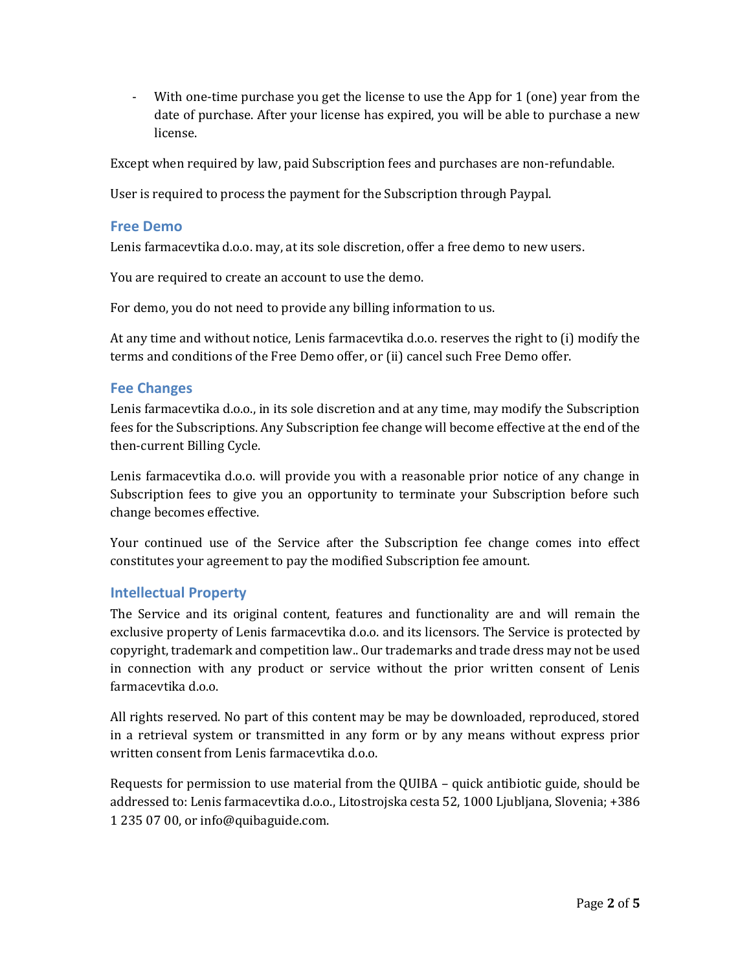- With one-time purchase you get the license to use the App for 1 (one) year from the date of purchase. After your license has expired, you will be able to purchase a new license.

Except when required by law, paid Subscription fees and purchases are non-refundable.

User is required to process the payment for the Subscription through Paypal.

#### **Free Demo**

Lenis farmacevtika d.o.o. may, at its sole discretion, offer a free demo to new users.

You are required to create an account to use the demo.

For demo, you do not need to provide any billing information to us.

At any time and without notice, Lenis farmacevtika d.o.o. reserves the right to (i) modify the terms and conditions of the Free Demo offer, or (ii) cancel such Free Demo offer.

#### **Fee Changes**

Lenis farmacevtika d.o.o., in its sole discretion and at any time, may modify the Subscription fees for the Subscriptions. Any Subscription fee change will become effective at the end of the then-current Billing Cycle.

Lenis farmacevtika d.o.o. will provide you with a reasonable prior notice of any change in Subscription fees to give you an opportunity to terminate your Subscription before such change becomes effective.

Your continued use of the Service after the Subscription fee change comes into effect constitutes your agreement to pay the modified Subscription fee amount.

## **Intellectual Property**

The Service and its original content, features and functionality are and will remain the exclusive property of Lenis farmacevtika d.o.o. and its licensors. The Service is protected by copyright, trademark and competition law.. Our trademarks and trade dress may not be used in connection with any product or service without the prior written consent of Lenis farmacevtika d.o.o.

All rights reserved. No part of this content may be may be downloaded, reproduced, stored in a retrieval system or transmitted in any form or by any means without express prior written consent from Lenis farmacevtika d.o.o.

Requests for permission to use material from the QUIBA – quick antibiotic guide, should be addressed to: Lenis farmacevtika d.o.o., Litostrojska cesta 52, 1000 Ljubljana, Slovenia; +386 1 235 07 00, or info@quibaguide.com.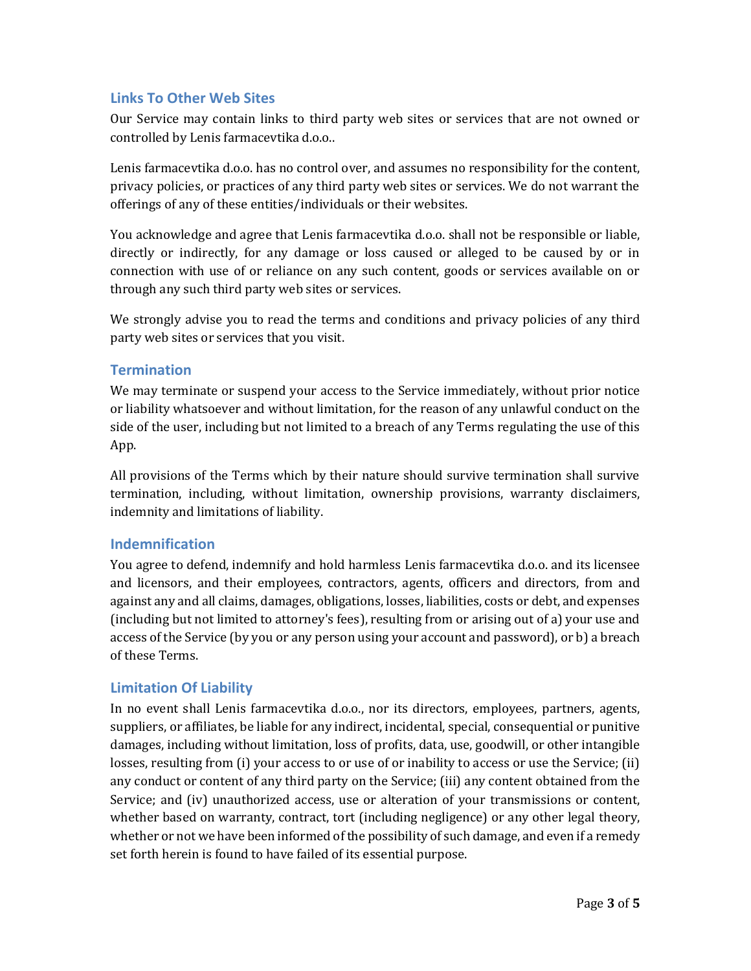## **Links To Other Web Sites**

Our Service may contain links to third party web sites or services that are not owned or controlled by Lenis farmacevtika d.o.o..

Lenis farmacevtika d.o.o. has no control over, and assumes no responsibility for the content, privacy policies, or practices of any third party web sites or services. We do not warrant the offerings of any of these entities/individuals or their websites.

You acknowledge and agree that Lenis farmacevtika d.o.o. shall not be responsible or liable, directly or indirectly, for any damage or loss caused or alleged to be caused by or in connection with use of or reliance on any such content, goods or services available on or through any such third party web sites or services.

We strongly advise you to read the terms and conditions and privacy policies of any third party web sites or services that you visit.

#### **Termination**

We may terminate or suspend your access to the Service immediately, without prior notice or liability whatsoever and without limitation, for the reason of any unlawful conduct on the side of the user, including but not limited to a breach of any Terms regulating the use of this App.

All provisions of the Terms which by their nature should survive termination shall survive termination, including, without limitation, ownership provisions, warranty disclaimers, indemnity and limitations of liability.

## **Indemnification**

You agree to defend, indemnify and hold harmless Lenis farmacevtika d.o.o. and its licensee and licensors, and their employees, contractors, agents, officers and directors, from and against any and all claims, damages, obligations, losses, liabilities, costs or debt, and expenses (including but not limited to attorney's fees), resulting from or arising out of a) your use and access of the Service (by you or any person using your account and password), or b) a breach of these Terms.

## **Limitation Of Liability**

In no event shall Lenis farmacevtika d.o.o., nor its directors, employees, partners, agents, suppliers, or affiliates, be liable for any indirect, incidental, special, consequential or punitive damages, including without limitation, loss of profits, data, use, goodwill, or other intangible losses, resulting from (i) your access to or use of or inability to access or use the Service; (ii) any conduct or content of any third party on the Service; (iii) any content obtained from the Service; and (iv) unauthorized access, use or alteration of your transmissions or content, whether based on warranty, contract, tort (including negligence) or any other legal theory, whether or not we have been informed of the possibility of such damage, and even if a remedy set forth herein is found to have failed of its essential purpose.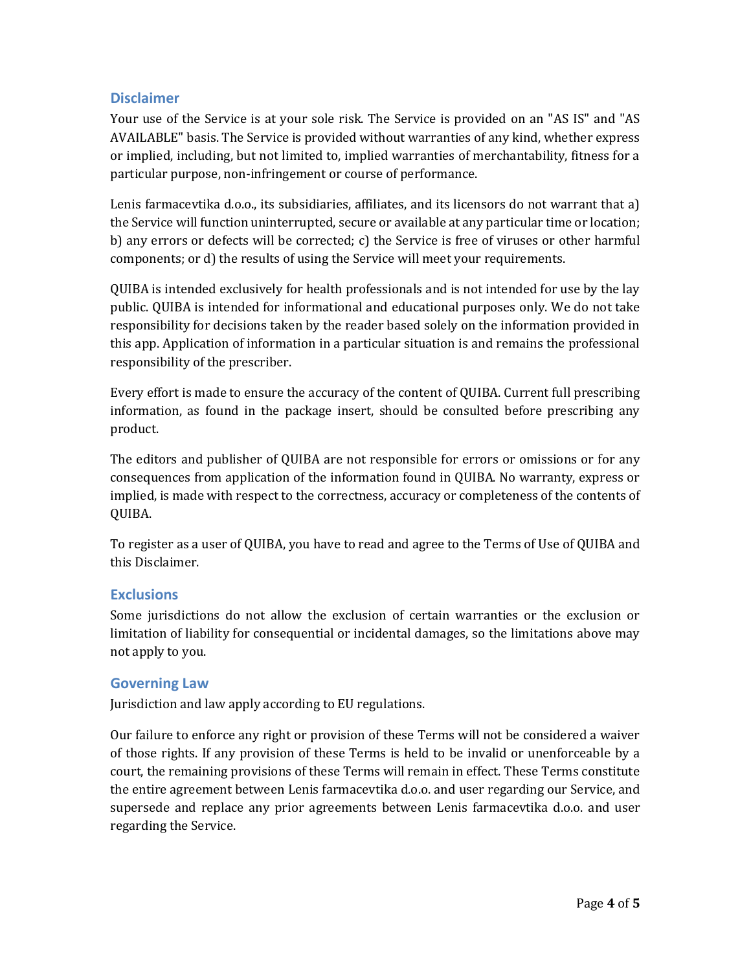## **Disclaimer**

Your use of the Service is at your sole risk. The Service is provided on an "AS IS" and "AS AVAILABLE" basis. The Service is provided without warranties of any kind, whether express or implied, including, but not limited to, implied warranties of merchantability, fitness for a particular purpose, non-infringement or course of performance.

Lenis farmacevtika d.o.o., its subsidiaries, affiliates, and its licensors do not warrant that a) the Service will function uninterrupted, secure or available at any particular time or location; b) any errors or defects will be corrected; c) the Service is free of viruses or other harmful components; or d) the results of using the Service will meet your requirements.

QUIBA is intended exclusively for health professionals and is not intended for use by the lay public. QUIBA is intended for informational and educational purposes only. We do not take responsibility for decisions taken by the reader based solely on the information provided in this app. Application of information in a particular situation is and remains the professional responsibility of the prescriber.

Every effort is made to ensure the accuracy of the content of QUIBA. Current full prescribing information, as found in the package insert, should be consulted before prescribing any product.

The editors and publisher of QUIBA are not responsible for errors or omissions or for any consequences from application of the information found in QUIBA. No warranty, express or implied, is made with respect to the correctness, accuracy or completeness of the contents of QUIBA.

To register as a user of QUIBA, you have to read and agree to the Terms of Use of QUIBA and this Disclaimer.

## **Exclusions**

Some jurisdictions do not allow the exclusion of certain warranties or the exclusion or limitation of liability for consequential or incidental damages, so the limitations above may not apply to you.

## **Governing Law**

Jurisdiction and law apply according to EU regulations.

Our failure to enforce any right or provision of these Terms will not be considered a waiver of those rights. If any provision of these Terms is held to be invalid or unenforceable by a court, the remaining provisions of these Terms will remain in effect. These Terms constitute the entire agreement between Lenis farmacevtika d.o.o. and user regarding our Service, and supersede and replace any prior agreements between Lenis farmacevtika d.o.o. and user regarding the Service.